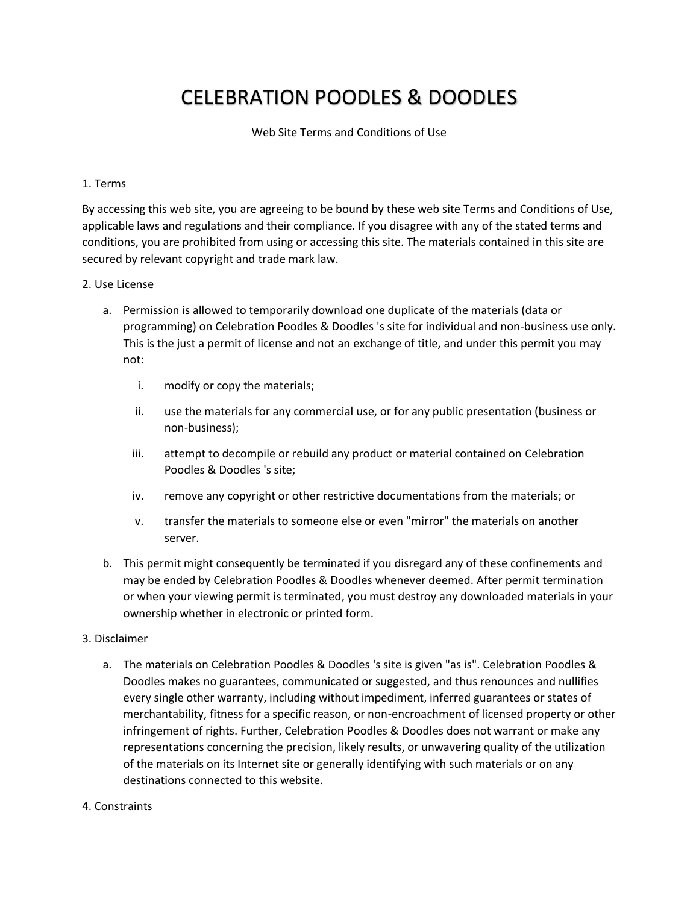# CELEBRATION POODLES & DOODLES

Web Site Terms and Conditions of Use

#### 1. Terms

By accessing this web site, you are agreeing to be bound by these web site Terms and Conditions of Use, applicable laws and regulations and their compliance. If you disagree with any of the stated terms and conditions, you are prohibited from using or accessing this site. The materials contained in this site are secured by relevant copyright and trade mark law.

#### 2. Use License

- a. Permission is allowed to temporarily download one duplicate of the materials (data or programming) on Celebration Poodles & Doodles 's site for individual and non-business use only. This is the just a permit of license and not an exchange of title, and under this permit you may not:
	- i. modify or copy the materials;
	- ii. use the materials for any commercial use, or for any public presentation (business or non-business);
	- iii. attempt to decompile or rebuild any product or material contained on Celebration Poodles & Doodles 's site;
	- iv. remove any copyright or other restrictive documentations from the materials; or
	- v. transfer the materials to someone else or even "mirror" the materials on another server.
- b. This permit might consequently be terminated if you disregard any of these confinements and may be ended by Celebration Poodles & Doodles whenever deemed. After permit termination or when your viewing permit is terminated, you must destroy any downloaded materials in your ownership whether in electronic or printed form.

#### 3. Disclaimer

- a. The materials on Celebration Poodles & Doodles 's site is given "as is". Celebration Poodles & Doodles makes no guarantees, communicated or suggested, and thus renounces and nullifies every single other warranty, including without impediment, inferred guarantees or states of merchantability, fitness for a specific reason, or non-encroachment of licensed property or other infringement of rights. Further, Celebration Poodles & Doodles does not warrant or make any representations concerning the precision, likely results, or unwavering quality of the utilization of the materials on its Internet site or generally identifying with such materials or on any destinations connected to this website.
- 4. Constraints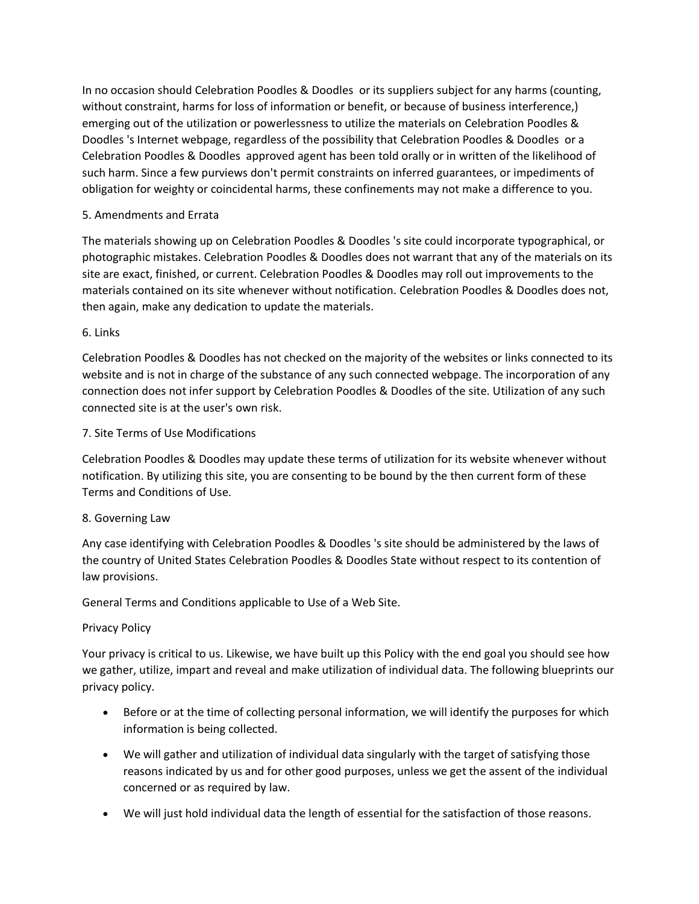In no occasion should Celebration Poodles & Doodles or its suppliers subject for any harms (counting, without constraint, harms for loss of information or benefit, or because of business interference,) emerging out of the utilization or powerlessness to utilize the materials on Celebration Poodles & Doodles 's Internet webpage, regardless of the possibility that Celebration Poodles & Doodles or a Celebration Poodles & Doodles approved agent has been told orally or in written of the likelihood of such harm. Since a few purviews don't permit constraints on inferred guarantees, or impediments of obligation for weighty or coincidental harms, these confinements may not make a difference to you.

## 5. Amendments and Errata

The materials showing up on Celebration Poodles & Doodles 's site could incorporate typographical, or photographic mistakes. Celebration Poodles & Doodles does not warrant that any of the materials on its site are exact, finished, or current. Celebration Poodles & Doodles may roll out improvements to the materials contained on its site whenever without notification. Celebration Poodles & Doodles does not, then again, make any dedication to update the materials.

## 6. Links

Celebration Poodles & Doodles has not checked on the majority of the websites or links connected to its website and is not in charge of the substance of any such connected webpage. The incorporation of any connection does not infer support by Celebration Poodles & Doodles of the site. Utilization of any such connected site is at the user's own risk.

## 7. Site Terms of Use Modifications

Celebration Poodles & Doodles may update these terms of utilization for its website whenever without notification. By utilizing this site, you are consenting to be bound by the then current form of these Terms and Conditions of Use.

## 8. Governing Law

Any case identifying with Celebration Poodles & Doodles 's site should be administered by the laws of the country of United States Celebration Poodles & Doodles State without respect to its contention of law provisions.

General Terms and Conditions applicable to Use of a Web Site.

#### Privacy Policy

Your privacy is critical to us. Likewise, we have built up this Policy with the end goal you should see how we gather, utilize, impart and reveal and make utilization of individual data. The following blueprints our privacy policy.

- Before or at the time of collecting personal information, we will identify the purposes for which information is being collected.
- We will gather and utilization of individual data singularly with the target of satisfying those reasons indicated by us and for other good purposes, unless we get the assent of the individual concerned or as required by law.
- We will just hold individual data the length of essential for the satisfaction of those reasons.